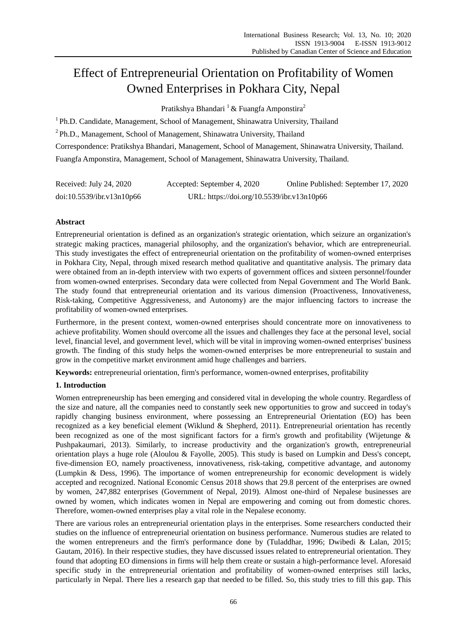# Effect of Entrepreneurial Orientation on Profitability of Women Owned Enterprises in Pokhara City, Nepal

Pratikshya Bhandari <sup>1</sup> & Fuangfa Amponstira<sup>2</sup>

<sup>1</sup> Ph.D. Candidate, Management, School of Management, Shinawatra University, Thailand <sup>2</sup>Ph.D., Management, School of Management, Shinawatra University, Thailand Correspondence: Pratikshya Bhandari, Management, School of Management, Shinawatra University, Thailand. Fuangfa Amponstira, Management, School of Management, Shinawatra University, Thailand.

| Received: July 24, 2020   | Accepted: September 4, 2020                | Online Published: September 17, 2020 |
|---------------------------|--------------------------------------------|--------------------------------------|
| doi:10.5539/ibr.v13n10p66 | URL: https://doi.org/10.5539/ibr.v13n10p66 |                                      |

# **Abstract**

Entrepreneurial orientation is defined as an organization's strategic orientation, which seizure an organization's strategic making practices, managerial philosophy, and the organization's behavior, which are entrepreneurial. This study investigates the effect of entrepreneurial orientation on the profitability of women-owned enterprises in Pokhara City, Nepal, through mixed research method qualitative and quantitative analysis. The primary data were obtained from an in-depth interview with two experts of government offices and sixteen personnel/founder from women-owned enterprises. Secondary data were collected from Nepal Government and The World Bank. The study found that entrepreneurial orientation and its various dimension (Proactiveness, Innovativeness, Risk-taking, Competitive Aggressiveness, and Autonomy) are the major influencing factors to increase the profitability of women-owned enterprises.

Furthermore, in the present context, women-owned enterprises should concentrate more on innovativeness to achieve profitability. Women should overcome all the issues and challenges they face at the personal level, social level, financial level, and government level, which will be vital in improving women-owned enterprises' business growth. The finding of this study helps the women-owned enterprises be more entrepreneurial to sustain and grow in the competitive market environment amid huge challenges and barriers.

**Keywords:** entrepreneurial orientation, firm's performance, women-owned enterprises, profitability

# **1. Introduction**

Women entrepreneurship has been emerging and considered vital in developing the whole country. Regardless of the size and nature, all the companies need to constantly seek new opportunities to grow and succeed in today's rapidly changing business environment, where possessing an Entrepreneurial Orientation (EO) has been recognized as a key beneficial element (Wiklund & Shepherd, 2011). Entrepreneurial orientation has recently been recognized as one of the most significant factors for a firm's growth and profitability (Wijetunge & Pushpakaumari, 2013). Similarly, to increase productivity and the organization's growth, entrepreneurial orientation plays a huge role (Aloulou & Fayolle, 2005). This study is based on Lumpkin and Dess's concept, five-dimension EO, namely proactiveness, innovativeness, risk-taking, competitive advantage, and autonomy (Lumpkin & Dess, 1996). The importance of women entrepreneurship for economic development is widely accepted and recognized. National Economic Census 2018 shows that 29.8 percent of the enterprises are owned by women, 247,882 enterprises (Government of Nepal, 2019). Almost one-third of Nepalese businesses are owned by women, which indicates women in Nepal are empowering and coming out from domestic chores. Therefore, women-owned enterprises play a vital role in the Nepalese economy.

There are various roles an entrepreneurial orientation plays in the enterprises. Some researchers conducted their studies on the influence of entrepreneurial orientation on business performance. Numerous studies are related to the women entrepreneurs and the firm's performance done by (Tuladdhar, 1996; Dwibedi & Lalan, 2015; Gautam, 2016). In their respective studies, they have discussed issues related to entrepreneurial orientation. They found that adopting EO dimensions in firms will help them create or sustain a high-performance level. Aforesaid specific study in the entrepreneurial orientation and profitability of women-owned enterprises still lacks, particularly in Nepal. There lies a research gap that needed to be filled. So, this study tries to fill this gap. This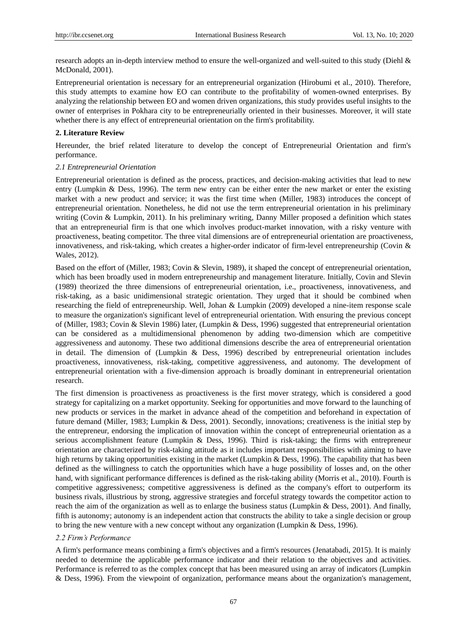research adopts an in-depth interview method to ensure the well-organized and well-suited to this study (Diehl & McDonald, 2001).

Entrepreneurial orientation is necessary for an entrepreneurial organization (Hirobumi et al., 2010). Therefore, this study attempts to examine how EO can contribute to the profitability of women-owned enterprises. By analyzing the relationship between EO and women driven organizations, this study provides useful insights to the owner of enterprises in Pokhara city to be entrepreneurially oriented in their businesses. Moreover, it will state whether there is any effect of entrepreneurial orientation on the firm's profitability.

# **2. Literature Review**

Hereunder, the brief related literature to develop the concept of Entrepreneurial Orientation and firm's performance.

#### *2.1 Entrepreneurial Orientation*

Entrepreneurial orientation is defined as the process, practices, and decision-making activities that lead to new entry (Lumpkin & Dess, 1996). The term new entry can be either enter the new market or enter the existing market with a new product and service; it was the first time when (Miller, 1983) introduces the concept of entrepreneurial orientation. Nonetheless, he did not use the term entrepreneurial orientation in his preliminary writing (Covin & Lumpkin, 2011). In his preliminary writing, Danny Miller proposed a definition which states that an entrepreneurial firm is that one which involves product-market innovation, with a risky venture with proactiveness, beating competitor. The three vital dimensions are of entrepreneurial orientation are proactiveness, innovativeness, and risk-taking, which creates a higher-order indicator of firm-level entrepreneurship (Covin & Wales, 2012).

Based on the effort of (Miller, 1983; Covin & Slevin, 1989), it shaped the concept of entrepreneurial orientation, which has been broadly used in modern entrepreneurship and management literature. Initially, Covin and Slevin (1989) theorized the three dimensions of entrepreneurial orientation, i.e., proactiveness, innovativeness, and risk-taking, as a basic unidimensional strategic orientation. They urged that it should be combined when researching the field of entrepreneurship. Well, Johan & Lumpkin (2009) developed a nine-item response scale to measure the organization's significant level of entrepreneurial orientation. With ensuring the previous concept of (Miller, 1983; Covin & Slevin 1986) later, (Lumpkin & Dess, 1996) suggested that entrepreneurial orientation can be considered as a multidimensional phenomenon by adding two-dimension which are competitive aggressiveness and autonomy. These two additional dimensions describe the area of entrepreneurial orientation in detail. The dimension of (Lumpkin & Dess, 1996) described by entrepreneurial orientation includes proactiveness, innovativeness, risk-taking, competitive aggressiveness, and autonomy. The development of entrepreneurial orientation with a five-dimension approach is broadly dominant in entrepreneurial orientation research.

The first dimension is proactiveness as proactiveness is the first mover strategy, which is considered a good strategy for capitalizing on a market opportunity. Seeking for opportunities and move forward to the launching of new products or services in the market in advance ahead of the competition and beforehand in expectation of future demand (Miller, 1983; Lumpkin & Dess, 2001). Secondly, innovations; creativeness is the initial step by the entrepreneur, endorsing the implication of innovation within the concept of entrepreneurial orientation as a serious accomplishment feature (Lumpkin & Dess, 1996). Third is risk-taking; the firms with entrepreneur orientation are characterized by risk-taking attitude as it includes important responsibilities with aiming to have high returns by taking opportunities existing in the market (Lumpkin & Dess, 1996). The capability that has been defined as the willingness to catch the opportunities which have a huge possibility of losses and, on the other hand, with significant performance differences is defined as the risk-taking ability (Morris et al., 2010). Fourth is competitive aggressiveness; competitive aggressiveness is defined as the company's effort to outperform its business rivals, illustrious by strong, aggressive strategies and forceful strategy towards the competitor action to reach the aim of the organization as well as to enlarge the business status (Lumpkin & Dess, 2001). And finally, fifth is autonomy; autonomy is an independent action that constructs the ability to take a single decision or group to bring the new venture with a new concept without any organization (Lumpkin & Dess, 1996).

# *2.2 Firm's Performance*

A firm's performance means combining a firm's objectives and a firm's resources (Jenatabadi, 2015). It is mainly needed to determine the applicable performance indicator and their relation to the objectives and activities. Performance is referred to as the complex concept that has been measured using an array of indicators (Lumpkin & Dess, 1996). From the viewpoint of organization, performance means about the organization's management,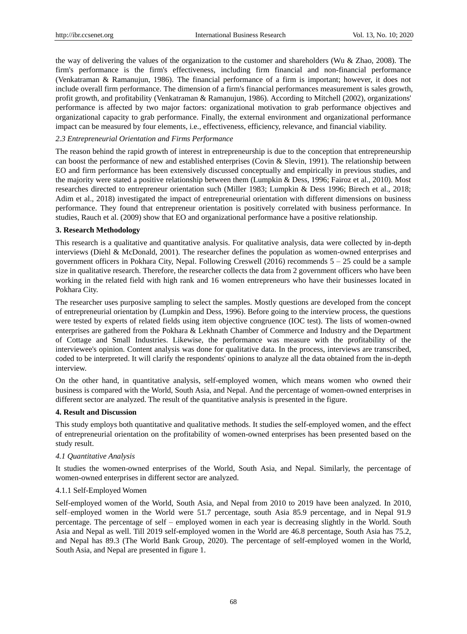the way of delivering the values of the organization to the customer and shareholders (Wu & Zhao, 2008). The firm's performance is the firm's effectiveness, including firm financial and non-financial performance (Venkatraman & Ramanujun, 1986). The financial performance of a firm is important; however, it does not include overall firm performance. The dimension of a firm's financial performances measurement is sales growth, profit growth, and profitability (Venkatraman & Ramanujun, 1986). According to Mitchell (2002), organizations' performance is affected by two major factors: organizational motivation to grab performance objectives and organizational capacity to grab performance. Finally, the external environment and organizational performance impact can be measured by four elements, i.e., effectiveness, efficiency, relevance, and financial viability.

# *2.3 Entrepreneurial Orientation and Firms Performance*

The reason behind the rapid growth of interest in entrepreneurship is due to the conception that entrepreneurship can boost the performance of new and established enterprises (Covin & Slevin, 1991). The relationship between EO and firm performance has been extensively discussed conceptually and empirically in previous studies, and the majority were stated a positive relationship between them (Lumpkin & Dess, 1996; Fairoz et al., 2010). Most researches directed to entrepreneur orientation such (Miller 1983; Lumpkin & Dess 1996; Birech et al., 2018; Adim et al., 2018) investigated the impact of entrepreneurial orientation with different dimensions on business performance. They found that entrepreneur orientation is positively correlated with business performance. In studies, Rauch et al. (2009) show that EO and organizational performance have a positive relationship.

# **3. Research Methodology**

This research is a qualitative and quantitative analysis. For qualitative analysis, data were collected by in-depth interviews (Diehl & McDonald, 2001). The researcher defines the population as women-owned enterprises and government officers in Pokhara City, Nepal. Following Creswell (2016) recommends 5 – 25 could be a sample size in qualitative research. Therefore, the researcher collects the data from 2 government officers who have been working in the related field with high rank and 16 women entrepreneurs who have their businesses located in Pokhara City.

The researcher uses purposive sampling to select the samples. Mostly questions are developed from the concept of entrepreneurial orientation by (Lumpkin and Dess, 1996). Before going to the interview process, the questions were tested by experts of related fields using item objective congruence (IOC test). The lists of women-owned enterprises are gathered from the Pokhara & Lekhnath Chamber of Commerce and Industry and the Department of Cottage and Small Industries. Likewise, the performance was measure with the profitability of the interviewee's opinion. Content analysis was done for qualitative data. In the process, interviews are transcribed, coded to be interpreted. It will clarify the respondents' opinions to analyze all the data obtained from the in-depth interview.

On the other hand, in quantitative analysis, self-employed women, which means women who owned their business is compared with the World, South Asia, and Nepal. And the percentage of women-owned enterprises in different sector are analyzed. The result of the quantitative analysis is presented in the figure.

# **4. Result and Discussion**

This study employs both quantitative and qualitative methods. It studies the self-employed women, and the effect of entrepreneurial orientation on the profitability of women-owned enterprises has been presented based on the study result.

# *4.1 Quantitative Analysis*

It studies the women-owned enterprises of the World, South Asia, and Nepal. Similarly, the percentage of women-owned enterprises in different sector are analyzed.

# 4.1.1 Self-Employed Women

Self-employed women of the World, South Asia, and Nepal from 2010 to 2019 have been analyzed. In 2010, self–employed women in the World were 51.7 percentage, south Asia 85.9 percentage, and in Nepal 91.9 percentage. The percentage of self – employed women in each year is decreasing slightly in the World. South Asia and Nepal as well. Till 2019 self-employed women in the World are 46.8 percentage, South Asia has 75.2, and Nepal has 89.3 (The World Bank Group, 2020). The percentage of self-employed women in the World, South Asia, and Nepal are presented in figure 1.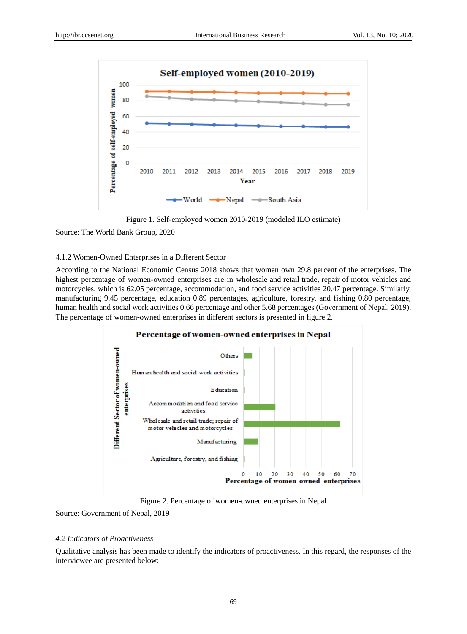



Source: The World Bank Group, 2020

# 4.1.2 Women-Owned Enterprises in a Different Sector

According to the National Economic Census 2018 shows that women own 29.8 percent of the enterprises. The highest percentage of women-owned enterprises are in wholesale and retail trade, repair of motor vehicles and motorcycles, which is 62.05 percentage, accommodation, and food service activities 20.47 percentage. Similarly, manufacturing 9.45 percentage, education 0.89 percentages, agriculture, forestry, and fishing 0.80 percentage, human health and social work activities 0.66 percentage and other 5.68 percentages (Government of Nepal, 2019). The percentage of women-owned enterprises in different sectors is presented in figure 2.



Figure 2. Percentage of women-owned enterprises in Nepal

# Source: Government of Nepal, 2019

# *4.2 Indicators of Proactiveness*

Qualitative analysis has been made to identify the indicators of proactiveness. In this regard, the responses of the interviewee are presented below: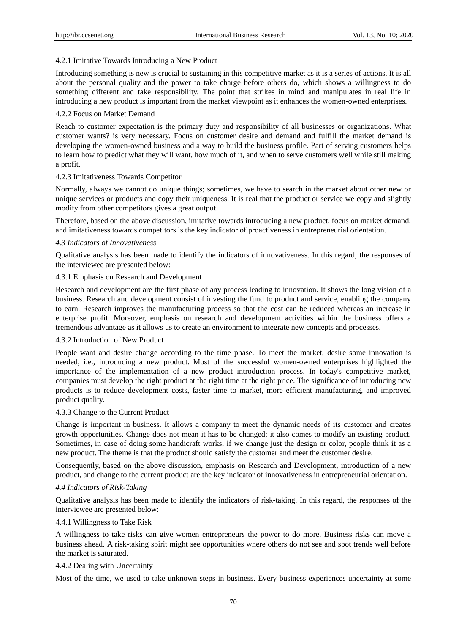#### 4.2.1 Imitative Towards Introducing a New Product

Introducing something is new is crucial to sustaining in this competitive market as it is a series of actions. It is all about the personal quality and the power to take charge before others do, which shows a willingness to do something different and take responsibility. The point that strikes in mind and manipulates in real life in introducing a new product is important from the market viewpoint as it enhances the women-owned enterprises.

### 4.2.2 Focus on Market Demand

Reach to customer expectation is the primary duty and responsibility of all businesses or organizations. What customer wants? is very necessary. Focus on customer desire and demand and fulfill the market demand is developing the women-owned business and a way to build the business profile. Part of serving customers helps to learn how to predict what they will want, how much of it, and when to serve customers well while still making a profit.

### 4.2.3 Imitativeness Towards Competitor

Normally, always we cannot do unique things; sometimes, we have to search in the market about other new or unique services or products and copy their uniqueness. It is real that the product or service we copy and slightly modify from other competitors gives a great output.

Therefore, based on the above discussion, imitative towards introducing a new product, focus on market demand, and imitativeness towards competitors is the key indicator of proactiveness in entrepreneurial orientation.

## *4.3 Indicators of Innovativeness*

Qualitative analysis has been made to identify the indicators of innovativeness. In this regard, the responses of the interviewee are presented below:

# 4.3.1 Emphasis on Research and Development

Research and development are the first phase of any process leading to innovation. It shows the long vision of a business. Research and development consist of investing the fund to product and service, enabling the company to earn. Research improves the manufacturing process so that the cost can be reduced whereas an increase in enterprise profit. Moreover, emphasis on research and development activities within the business offers a tremendous advantage as it allows us to create an environment to integrate new concepts and processes.

#### 4.3.2 Introduction of New Product

People want and desire change according to the time phase. To meet the market, desire some innovation is needed, i.e., introducing a new product. Most of the successful women-owned enterprises highlighted the importance of the implementation of a new product introduction process. In today's competitive market, companies must develop the right product at the right time at the right price. The significance of introducing new products is to reduce development costs, faster time to market, more efficient manufacturing, and improved product quality.

# 4.3.3 Change to the Current Product

Change is important in business. It allows a company to meet the dynamic needs of its customer and creates growth opportunities. Change does not mean it has to be changed; it also comes to modify an existing product. Sometimes, in case of doing some handicraft works, if we change just the design or color, people think it as a new product. The theme is that the product should satisfy the customer and meet the customer desire.

Consequently, based on the above discussion, emphasis on Research and Development, introduction of a new product, and change to the current product are the key indicator of innovativeness in entrepreneurial orientation.

# *4.4 Indicators of Risk-Taking*

Qualitative analysis has been made to identify the indicators of risk-taking. In this regard, the responses of the interviewee are presented below:

# 4.4.1 Willingness to Take Risk

A willingness to take risks can give women entrepreneurs the power to do more. Business risks can move a business ahead. A risk-taking spirit might see opportunities where others do not see and spot trends well before the market is saturated.

## 4.4.2 Dealing with Uncertainty

Most of the time, we used to take unknown steps in business. Every business experiences uncertainty at some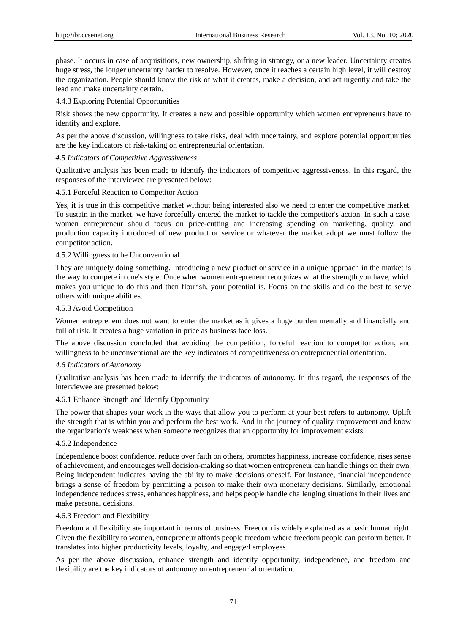phase. It occurs in case of acquisitions, new ownership, shifting in strategy, or a new leader. Uncertainty creates huge stress, the longer uncertainty harder to resolve. However, once it reaches a certain high level, it will destroy the organization. People should know the risk of what it creates, make a decision, and act urgently and take the lead and make uncertainty certain.

# 4.4.3 Exploring Potential Opportunities

Risk shows the new opportunity. It creates a new and possible opportunity which women entrepreneurs have to identify and explore.

As per the above discussion, willingness to take risks, deal with uncertainty, and explore potential opportunities are the key indicators of risk-taking on entrepreneurial orientation.

#### *4.5 Indicators of Competitive Aggressiveness*

Qualitative analysis has been made to identify the indicators of competitive aggressiveness. In this regard, the responses of the interviewee are presented below:

#### 4.5.1 Forceful Reaction to Competitor Action

Yes, it is true in this competitive market without being interested also we need to enter the competitive market. To sustain in the market, we have forcefully entered the market to tackle the competitor's action. In such a case, women entrepreneur should focus on price-cutting and increasing spending on marketing, quality, and production capacity introduced of new product or service or whatever the market adopt we must follow the competitor action.

## 4.5.2 Willingness to be Unconventional

They are uniquely doing something. Introducing a new product or service in a unique approach in the market is the way to compete in one's style. Once when women entrepreneur recognizes what the strength you have, which makes you unique to do this and then flourish, your potential is. Focus on the skills and do the best to serve others with unique abilities.

# 4.5.3 Avoid Competition

Women entrepreneur does not want to enter the market as it gives a huge burden mentally and financially and full of risk. It creates a huge variation in price as business face loss.

The above discussion concluded that avoiding the competition, forceful reaction to competitor action, and willingness to be unconventional are the key indicators of competitiveness on entrepreneurial orientation.

#### *4.6 Indicators of Autonomy*

Qualitative analysis has been made to identify the indicators of autonomy. In this regard, the responses of the interviewee are presented below:

### 4.6.1 Enhance Strength and Identify Opportunity

The power that shapes your work in the ways that allow you to perform at your best refers to autonomy. Uplift the strength that is within you and perform the best work. And in the journey of quality improvement and know the organization's weakness when someone recognizes that an opportunity for improvement exists.

#### 4.6.2 Independence

Independence boost confidence, reduce over faith on others, promotes happiness, increase confidence, rises sense of achievement, and encourages well decision-making so that women entrepreneur can handle things on their own. Being independent indicates having the ability to make decisions oneself. For instance, financial independence brings a sense of freedom by permitting a person to make their own monetary decisions. Similarly, emotional independence reduces stress, enhances happiness, and helps people handle challenging situations in their lives and make personal decisions.

# 4.6.3 Freedom and Flexibility

Freedom and flexibility are important in terms of business. Freedom is widely explained as a basic human right. Given the flexibility to women, entrepreneur affords people freedom where freedom people can perform better. It translates into higher productivity levels, loyalty, and engaged employees.

As per the above discussion, enhance strength and identify opportunity, independence, and freedom and flexibility are the key indicators of autonomy on entrepreneurial orientation.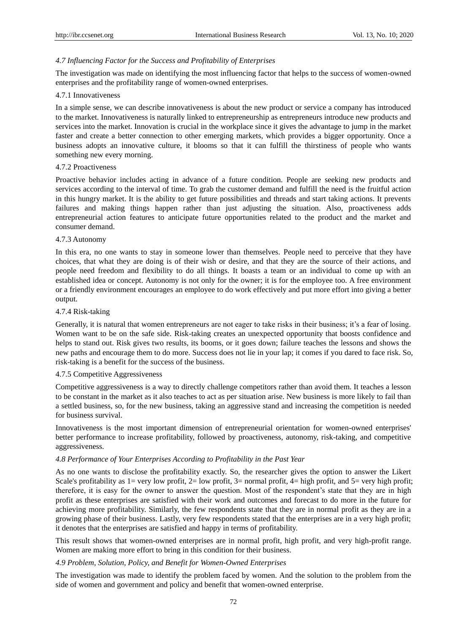# *4.7 Influencing Factor for the Success and Profitability of Enterprises*

The investigation was made on identifying the most influencing factor that helps to the success of women-owned enterprises and the profitability range of women-owned enterprises.

# 4.7.1 Innovativeness

In a simple sense, we can describe innovativeness is about the new product or service a company has introduced to the market. Innovativeness is naturally linked to entrepreneurship as entrepreneurs introduce new products and services into the market. Innovation is crucial in the workplace since it gives the advantage to jump in the market faster and create a better connection to other emerging markets, which provides a bigger opportunity. Once a business adopts an innovative culture, it blooms so that it can fulfill the thirstiness of people who wants something new every morning.

# 4.7.2 Proactiveness

Proactive behavior includes acting in advance of a future condition. People are seeking new products and services according to the interval of time. To grab the customer demand and fulfill the need is the fruitful action in this hungry market. It is the ability to get future possibilities and threads and start taking actions. It prevents failures and making things happen rather than just adjusting the situation. Also, proactiveness adds entrepreneurial action features to anticipate future opportunities related to the product and the market and consumer demand.

# 4.7.3 Autonomy

In this era, no one wants to stay in someone lower than themselves. People need to perceive that they have choices, that what they are doing is of their wish or desire, and that they are the source of their actions, and people need freedom and flexibility to do all things. It boasts a team or an individual to come up with an established idea or concept. Autonomy is not only for the owner; it is for the employee too. A free environment or a friendly environment encourages an employee to do work effectively and put more effort into giving a better output.

# 4.7.4 Risk-taking

Generally, it is natural that women entrepreneurs are not eager to take risks in their business; it's a fear of losing. Women want to be on the safe side. Risk-taking creates an unexpected opportunity that boosts confidence and helps to stand out. Risk gives two results, its booms, or it goes down; failure teaches the lessons and shows the new paths and encourage them to do more. Success does not lie in your lap; it comes if you dared to face risk. So, risk-taking is a benefit for the success of the business.

# 4.7.5 Competitive Aggressiveness

Competitive aggressiveness is a way to directly challenge competitors rather than avoid them. It teaches a lesson to be constant in the market as it also teaches to act as per situation arise. New business is more likely to fail than a settled business, so, for the new business, taking an aggressive stand and increasing the competition is needed for business survival.

Innovativeness is the most important dimension of entrepreneurial orientation for women-owned enterprises' better performance to increase profitability, followed by proactiveness, autonomy, risk-taking, and competitive aggressiveness.

# *4.8 Performance of Your Enterprises According to Profitability in the Past Year*

As no one wants to disclose the profitability exactly. So, the researcher gives the option to answer the Likert Scale's profitability as  $1=$  very low profit,  $2=$  low profit,  $3=$  normal profit,  $4=$  high profit, and  $5=$  very high profit; therefore, it is easy for the owner to answer the question. Most of the respondent's state that they are in high profit as these enterprises are satisfied with their work and outcomes and forecast to do more in the future for achieving more profitability. Similarly, the few respondents state that they are in normal profit as they are in a growing phase of their business. Lastly, very few respondents stated that the enterprises are in a very high profit; it denotes that the enterprises are satisfied and happy in terms of profitability.

This result shows that women-owned enterprises are in normal profit, high profit, and very high-profit range. Women are making more effort to bring in this condition for their business.

# *4.9 Problem, Solution, Policy, and Benefit for Women-Owned Enterprises*

The investigation was made to identify the problem faced by women. And the solution to the problem from the side of women and government and policy and benefit that women-owned enterprise.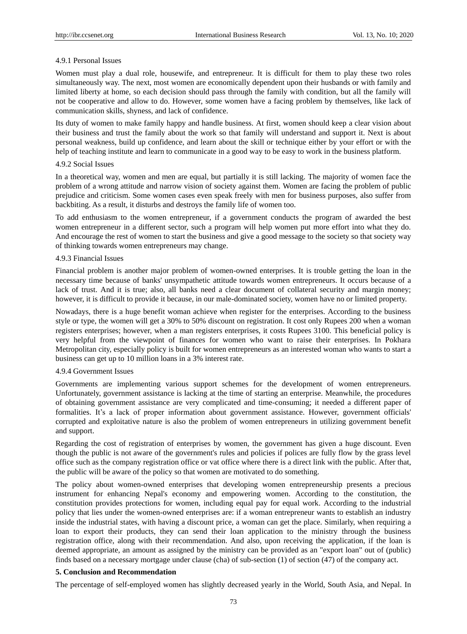## 4.9.1 Personal Issues

Women must play a dual role, housewife, and entrepreneur. It is difficult for them to play these two roles simultaneously way. The next, most women are economically dependent upon their husbands or with family and limited liberty at home, so each decision should pass through the family with condition, but all the family will not be cooperative and allow to do. However, some women have a facing problem by themselves, like lack of communication skills, shyness, and lack of confidence.

Its duty of women to make family happy and handle business. At first, women should keep a clear vision about their business and trust the family about the work so that family will understand and support it. Next is about personal weakness, build up confidence, and learn about the skill or technique either by your effort or with the help of teaching institute and learn to communicate in a good way to be easy to work in the business platform.

#### 4.9.2 Social Issues

In a theoretical way, women and men are equal, but partially it is still lacking. The majority of women face the problem of a wrong attitude and narrow vision of society against them. Women are facing the problem of public prejudice and criticism. Some women cases even speak freely with men for business purposes, also suffer from backbiting. As a result, it disturbs and destroys the family life of women too.

To add enthusiasm to the women entrepreneur, if a government conducts the program of awarded the best women entrepreneur in a different sector, such a program will help women put more effort into what they do. And encourage the rest of women to start the business and give a good message to the society so that society way of thinking towards women entrepreneurs may change.

# 4.9.3 Financial Issues

Financial problem is another major problem of women-owned enterprises. It is trouble getting the loan in the necessary time because of banks' unsympathetic attitude towards women entrepreneurs. It occurs because of a lack of trust. And it is true; also, all banks need a clear document of collateral security and margin money; however, it is difficult to provide it because, in our male-dominated society, women have no or limited property.

Nowadays, there is a huge benefit woman achieve when register for the enterprises. According to the business style or type, the women will get a 30% to 50% discount on registration. It cost only Rupees 200 when a woman registers enterprises; however, when a man registers enterprises, it costs Rupees 3100. This beneficial policy is very helpful from the viewpoint of finances for women who want to raise their enterprises. In Pokhara Metropolitan city, especially policy is built for women entrepreneurs as an interested woman who wants to start a business can get up to 10 million loans in a 3% interest rate.

# 4.9.4 Government Issues

Governments are implementing various support schemes for the development of women entrepreneurs. Unfortunately, government assistance is lacking at the time of starting an enterprise. Meanwhile, the procedures of obtaining government assistance are very complicated and time-consuming; it needed a different paper of formalities. It's a lack of proper information about government assistance. However, government officials' corrupted and exploitative nature is also the problem of women entrepreneurs in utilizing government benefit and support.

Regarding the cost of registration of enterprises by women, the government has given a huge discount. Even though the public is not aware of the government's rules and policies if polices are fully flow by the grass level office such as the company registration office or vat office where there is a direct link with the public. After that, the public will be aware of the policy so that women are motivated to do something.

The policy about women-owned enterprises that developing women entrepreneurship presents a precious instrument for enhancing Nepal's economy and empowering women. According to the constitution, the constitution provides protections for women, including equal pay for equal work. According to the industrial policy that lies under the women-owned enterprises are: if a woman entrepreneur wants to establish an industry inside the industrial states, with having a discount price, a woman can get the place. Similarly, when requiring a loan to export their products, they can send their loan application to the ministry through the business registration office, along with their recommendation. And also, upon receiving the application, if the loan is deemed appropriate, an amount as assigned by the ministry can be provided as an "export loan" out of (public) finds based on a necessary mortgage under clause (cha) of sub-section (1) of section (47) of the company act.

## **5. Conclusion and Recommendation**

The percentage of self-employed women has slightly decreased yearly in the World, South Asia, and Nepal. In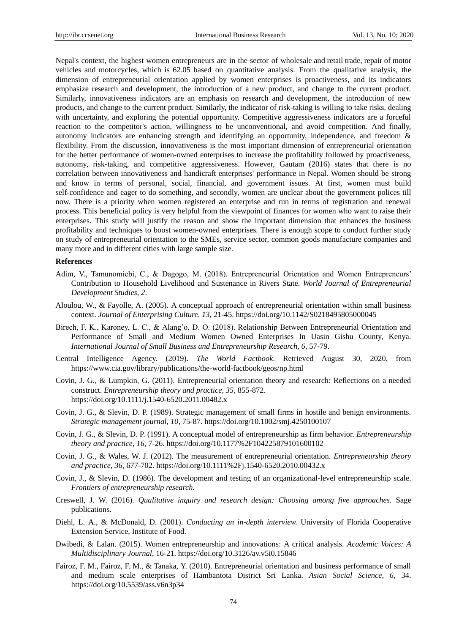Nepal's context, the highest women entrepreneurs are in the sector of wholesale and retail trade, repair of motor vehicles and motorcycles, which is 62.05 based on quantitative analysis. From the qualitative analysis, the dimension of entrepreneurial orientation applied by women enterprises is proactiveness, and its indicators emphasize research and development, the introduction of a new product, and change to the current product. Similarly, innovativeness indicators are an emphasis on research and development, the introduction of new products, and change to the current product. Similarly, the indicator of risk-taking is willing to take risks, dealing with uncertainty, and exploring the potential opportunity. Competitive aggressiveness indicators are a forceful reaction to the competitor's action, willingness to be unconventional, and avoid competition. And finally, autonomy indicators are enhancing strength and identifying an opportunity, independence, and freedom & flexibility. From the discussion, innovativeness is the most important dimension of entrepreneurial orientation for the better performance of women-owned enterprises to increase the profitability followed by proactiveness, autonomy, risk-taking, and competitive aggressiveness. However, Gautam (2016) states that there is no correlation between innovativeness and handicraft enterprises' performance in Nepal. Women should be strong and know in terms of personal, social, financial, and government issues. At first, women must build self-confidence and eager to do something, and secondly, women are unclear about the government polices till now. There is a priority when women registered an enterprise and run in terms of registration and renewal process. This beneficial policy is very helpful from the viewpoint of finances for women who want to raise their enterprises. This study will justify the reason and show the important dimension that enhances the business profitability and techniques to boost women-owned enterprises. There is enough scope to conduct further study on study of entrepreneurial orientation to the SMEs, service sector, common goods manufacture companies and many more and in different cities with large sample size.

#### **References**

- Adim, V., Tamunomiebi, C., & Dagogo, M. (2018). Entrepreneurial Orientation and Women Entrepreneurs' Contribution to Household Livelihood and Sustenance in Rivers State. *World Journal of Entrepreneurial Development Studies, 2*.
- Aloulou, W., & Fayolle, A. (2005). A conceptual approach of entrepreneurial orientation within small business context. *Journal of Enterprising Culture, 13*, 21-45. https://doi.org/10.1142/S0218495805000045
- Birech, F. K., Karoney, L. C., & Alang'o, D. O. (2018). Relationship Between Entrepreneurial Orientation and Performance of Small and Medium Women Owned Enterprises In Uasin Gishu County, Kenya. *International Journal of Small Business and Entrepreneurship Research, 6*, 57-79.
- Central Intelligence Agency. (2019). *The World Factbook*. Retrieved August 30, 2020, from https://www.cia.gov/library/publications/the-world-factbook/geos/np.html
- Covin, J. G., & Lumpkin, G. (2011). Entrepreneurial orientation theory and research: Reflections on a needed construct. *Entrepreneurship theory and practice, 35*, 855-872. https://doi.org/10.1111/j.1540-6520.2011.00482.x
- Covin, J. G., & Slevin, D. P. (1989). Strategic management of small firms in hostile and benign environments. *Strategic management journal, 10*, 75-87. https://doi.org/10.1002/smj.4250100107
- Covin, J. G., & Slevin, D. P. (1991). A conceptual model of entrepreneurship as firm behavior. *Entrepreneurship theory and practice, 16*, 7-26. https://doi.org/10.1177%2F104225879101600102
- Covin, J. G., & Wales, W. J. (2012). The measurement of entrepreneurial orientation. *Entrepreneurship theory and practice, 36*, 677-702. https://doi.org/10.1111%2Fj.1540-6520.2010.00432.x
- Covin, J., & Slevin, D. (1986). The development and testing of an organizational-level entrepreneurship scale. *Frontiers of entrepreneurship research*.
- Creswell, J. W. (2016). *Qualitative inquiry and research design: Choosing among five approaches.* Sage publications.
- Diehl, L. A., & McDonald, D. (2001). *Conducting an in-depth interview.* University of Florida Cooperative Extension Service, Institute of Food.
- Dwibedi, & Lalan. (2015). Women entrepreneurship and innovations: A critical analysis. *Academic Voices: A Multidisciplinary Journal*, 16-21. https://doi.org/10.3126/av.v5i0.15846
- Fairoz, F. M., Fairoz, F. M., & Tanaka, Y. (2010). Entrepreneurial orientation and business performance of small and medium scale enterprises of Hambantota District Sri Lanka. *Asian Social Science, 6*, 34. https://doi.org/10.5539/ass.v6n3p34